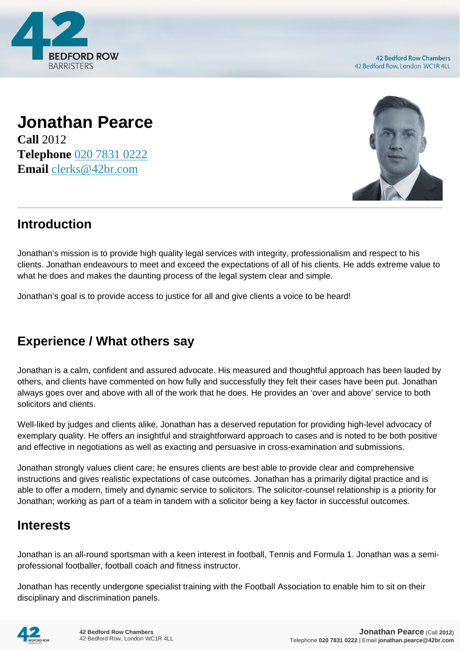

**42 Bedford Row Chambers** 42 Bedford Row, London WC1R 4LL

## **Jonathan Pearce Call** 2012 **Telephone** [020 7831 0222](https://pdf.codeshore.co/_42br/tel:020 7831 0222) **Email** [clerks@42br.com](mailto:clerks@42br.com)



## **Introduction**

Jonathan's mission is to provide high quality legal services with integrity, professionalism and respect to his clients. Jonathan endeavours to meet and exceed the expectations of all of his clients. He adds extreme value to what he does and makes the daunting process of the legal system clear and simple.

Jonathan's goal is to provide access to justice for all and give clients a voice to be heard!

## **Experience / What others say**

Jonathan is a calm, confident and assured advocate. His measured and thoughtful approach has been lauded by others, and clients have commented on how fully and successfully they felt their cases have been put. Jonathan always goes over and above with all of the work that he does. He provides an 'over and above' service to both solicitors and clients.

Well-liked by judges and clients alike, Jonathan has a deserved reputation for providing high-level advocacy of exemplary quality. He offers an insightful and straightforward approach to cases and is noted to be both positive and effective in negotiations as well as exacting and persuasive in cross-examination and submissions.

Jonathan strongly values client care; he ensures clients are best able to provide clear and comprehensive instructions and gives realistic expectations of case outcomes. Jonathan has a primarily digital practice and is able to offer a modern, timely and dynamic service to solicitors. The solicitor-counsel relationship is a priority for Jonathan; working as part of a team in tandem with a solicitor being a key factor in successful outcomes.

## **Interests**

Jonathan is an all-round sportsman with a keen interest in football, Tennis and Formula 1. Jonathan was a semiprofessional footballer, football coach and fitness instructor.

Jonathan has recently undergone specialist training with the Football Association to enable him to sit on their disciplinary and discrimination panels.